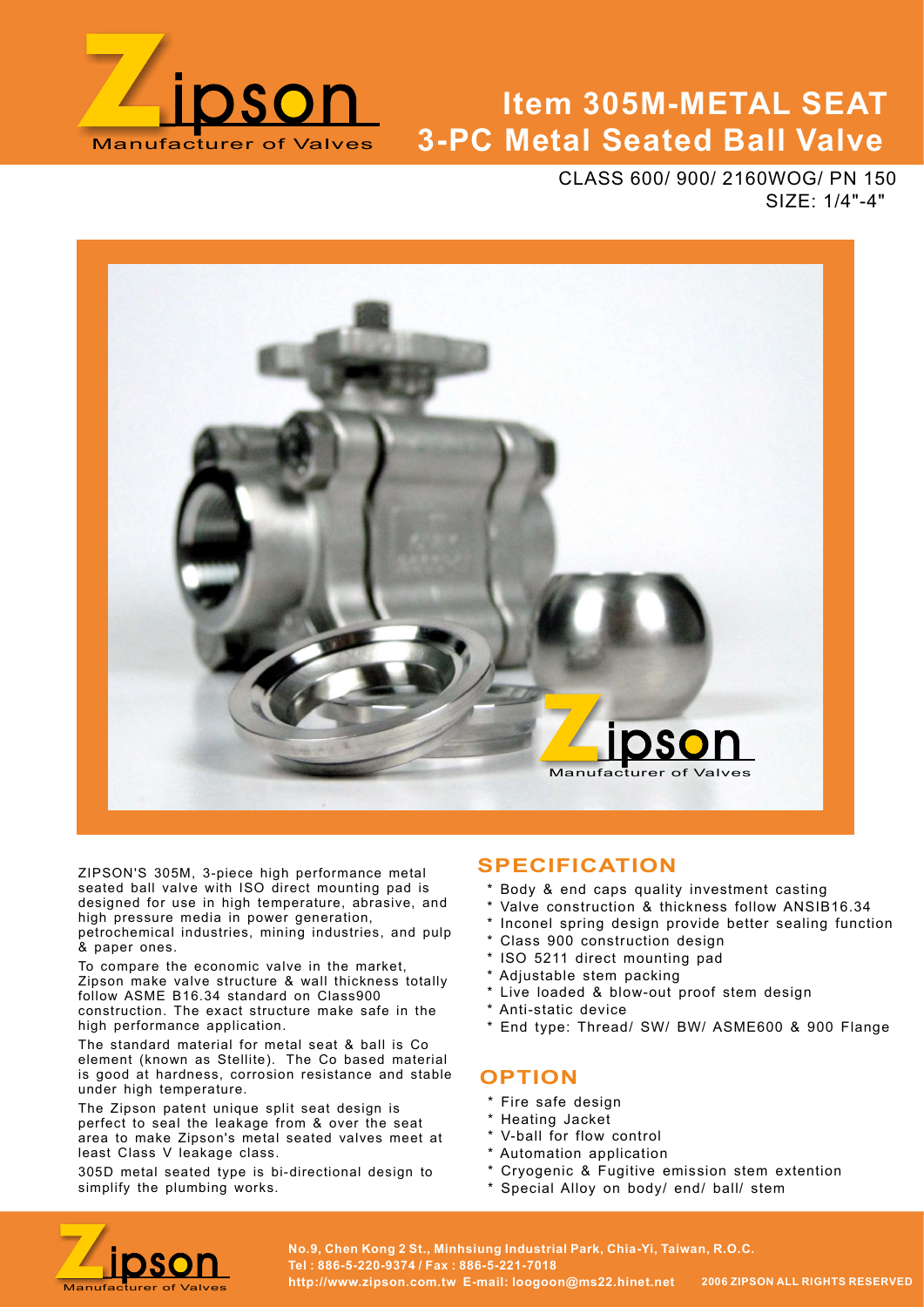

# Manufacturer of Valves 3-PC Metal Seated Ball Valve Item 305M-METAL SEAT

CLASS 600/ 900/ 2160WOG/ PN 150 SIZE: 1/4"-4"



ZIPSON'S 305M, 3-piece high performance metal seated ball valve with ISO direct mounting pad is designed for use in high temperature, abrasive, and high pressure media in power generation, petrochemical industries, mining industries, and pulp & paper ones.

To compare the economic valve in the market, Zipson make valve structure & wall thickness totally follow ASME B16.34 standard on Class900 construction. The exact structure make safe in the high performance application.

The standard material for metal seat & ball is Co element (known as Stellite). The Co based material is good at hardness, corrosion resistance and stable under high temperature.

The Zipson patent unique split seat design is perfect to seal the leakage from & over the seat area to make Zipson's metal seated valves meet at least Class V leakage class.

305D metal seated type is bi-directional design to simplify the plumbing works.

### SPECIFICATION

- \* Body & end caps quality investment casting
- Valve construction & thickness follow ANSIB16.34
- \* Inconel spring design provide better sealing function
- Class 900 construction design
- \* ISO 5211 direct mounting pad
- \* Adjustable stem packing
- \* Live loaded & blow-out proof stem design
- \* Anti-static device
- \* End type: Thread/ SW/ BW/ ASME600 & 900 Flange

### **OPTION**

- \* Fire safe design
- \* Heating Jacket
- \* V-ball for flow control
- \* Automation application
- \* Cryogenic & Fugitive emission stem extention
- \* Special Alloy on body/ end/ ball/ stem

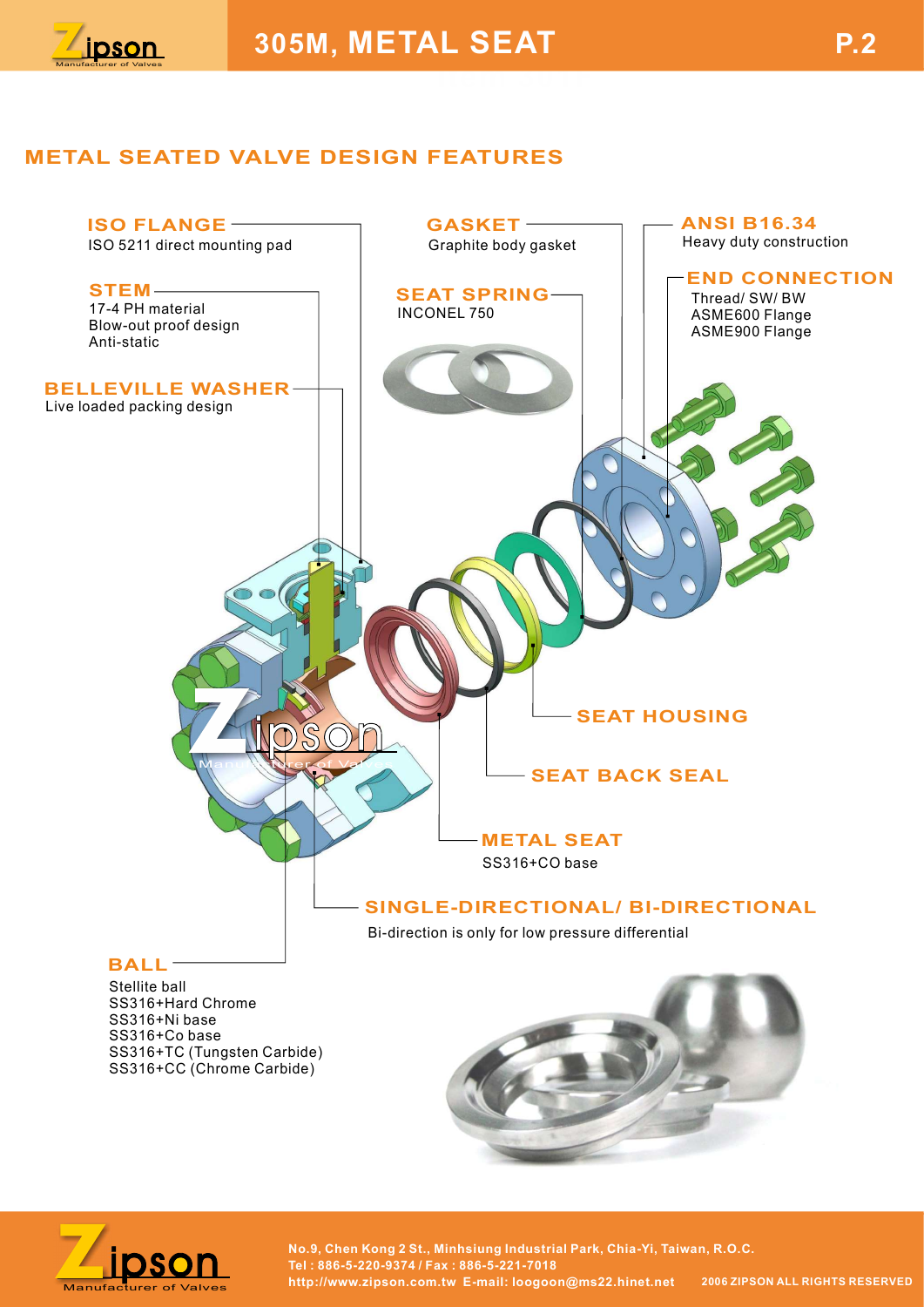

### METAL SEATED VALVE DESIGN FEATURES



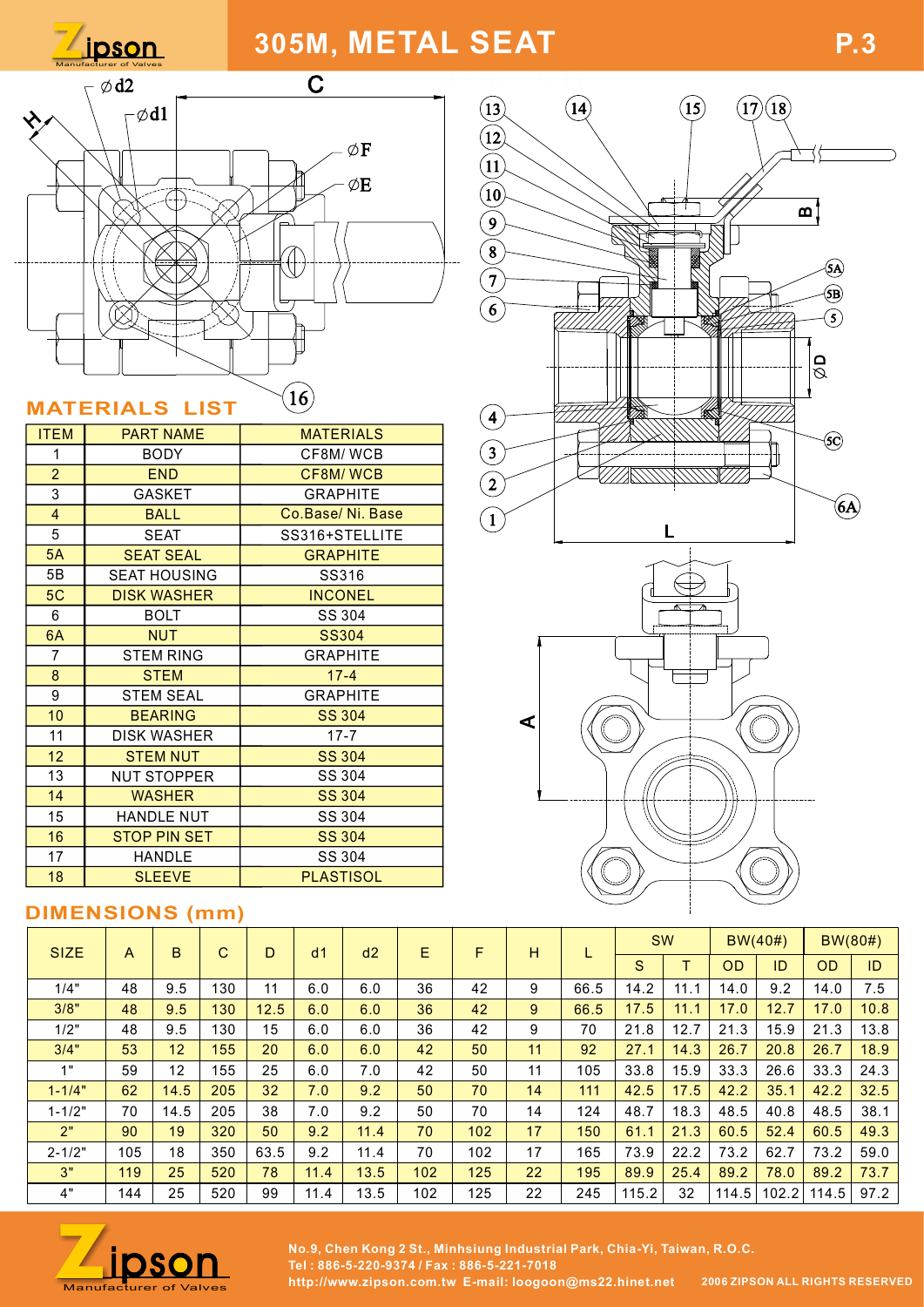



| <b>ITEM</b>    | <b>PART NAME</b>    | <b>MATERIALS</b> | $\cdot$ /    |
|----------------|---------------------|------------------|--------------|
| 1              | BODY                | CF8M/WCB         | 3            |
| $\overline{2}$ | <b>END</b>          | CF8M/WCB         |              |
| 3              | <b>GASKET</b>       | <b>GRAPHITE</b>  | $\mathbf{2}$ |
| $\overline{4}$ | <b>BALL</b>         | Co.Base/Ni. Base | 1            |
| 5              | <b>SEAT</b>         | SS316+STELLITE   |              |
| 5A             | <b>SEAT SEAL</b>    | <b>GRAPHITE</b>  |              |
| 5Β             | <b>SEAT HOUSING</b> | SS316            |              |
| 5C             | <b>DISK WASHER</b>  | <b>INCONEL</b>   |              |
| 6              | <b>BOLT</b>         | SS 304           |              |
| 6A             | <b>NUT</b>          | <b>SS304</b>     |              |
| 7              | <b>STEM RING</b>    | <b>GRAPHITE</b>  |              |
| 8              | <b>STEM</b>         | $17 - 4$         |              |
| 9              | <b>STEM SEAL</b>    | <b>GRAPHITE</b>  |              |
| 10             | <b>BEARING</b>      | <b>SS 304</b>    | ⋖            |
| 11             | DISK WASHER         | $17 - 7$         |              |
| 12             | <b>STEM NUT</b>     | <b>SS 304</b>    |              |
| 13             | <b>NUT STOPPER</b>  | SS 304           |              |
| 14             | <b>WASHER</b>       | <b>SS 304</b>    |              |
| 15             | HANDLE NUT          | SS 304           |              |
| 16             | <b>STOP PIN SET</b> | <b>SS 304</b>    |              |
| 17             | <b>HANDLE</b>       | SS 304           |              |
| 18             | <b>SLEEVE</b>       | <b>PLASTISOL</b> |              |
|                |                     |                  |              |

### DIMENSIONS (mm)

| 5B             |                                   | <b>SEAT HOUSING</b> |     |      | SS316           |                 |     |     |    |      |       |      |           |         |                     |         |  |  |  |
|----------------|-----------------------------------|---------------------|-----|------|-----------------|-----------------|-----|-----|----|------|-------|------|-----------|---------|---------------------|---------|--|--|--|
| 5C             |                                   | <b>DISK WASHER</b>  |     |      | <b>INCONEL</b>  |                 |     |     |    |      |       |      |           |         |                     |         |  |  |  |
| 6              |                                   | <b>BOLT</b>         |     |      | SS 304          |                 |     |     |    |      |       |      |           |         |                     |         |  |  |  |
| 6A             |                                   | <b>NUT</b>          |     |      | <b>SS304</b>    |                 |     |     |    |      |       |      |           |         |                     |         |  |  |  |
| $\overline{7}$ |                                   | <b>STEM RING</b>    |     |      | <b>GRAPHITE</b> |                 |     |     |    |      |       |      |           |         |                     |         |  |  |  |
| 8              |                                   | <b>STEM</b>         |     |      | $17 - 4$        |                 |     |     |    |      |       |      |           |         |                     |         |  |  |  |
| 9              |                                   | <b>STEM SEAL</b>    |     |      |                 | <b>GRAPHITE</b> | ⋖   |     |    |      |       |      |           |         |                     |         |  |  |  |
| 10             |                                   | <b>BEARING</b>      |     |      | <b>SS 304</b>   |                 |     |     |    |      |       |      |           |         |                     |         |  |  |  |
| 11             |                                   | <b>DISK WASHER</b>  |     |      | $17 - 7$        |                 |     |     |    |      |       |      |           |         |                     |         |  |  |  |
| 12             |                                   | <b>STEM NUT</b>     |     |      |                 | <b>SS 304</b>   |     |     |    |      |       |      |           |         |                     |         |  |  |  |
| 13             |                                   | <b>NUT STOPPER</b>  |     |      | SS 304          |                 |     |     |    |      |       |      |           |         |                     |         |  |  |  |
| 14             |                                   | <b>WASHER</b>       |     |      | <b>SS 304</b>   |                 |     |     |    |      |       |      |           |         |                     |         |  |  |  |
| 15             |                                   | <b>HANDLE NUT</b>   |     |      | SS 304          |                 |     |     |    |      |       |      |           |         |                     |         |  |  |  |
| 16             |                                   | <b>STOP PIN SET</b> |     |      | <b>SS 304</b>   |                 |     |     |    |      |       |      |           |         |                     |         |  |  |  |
| 17             |                                   | HANDLE              |     |      | SS 304          |                 |     |     |    |      |       |      |           |         |                     |         |  |  |  |
| 18             | <b>SLEEVE</b><br><b>PLASTISOL</b> |                     |     |      |                 |                 |     |     |    |      |       |      |           |         |                     |         |  |  |  |
|                | <b>DIMENSIONS (mm)</b>            |                     |     |      |                 |                 |     |     |    |      |       |      |           |         |                     |         |  |  |  |
| <b>SIZE</b>    | $\mathsf{A}$                      | B                   | C   | D    | d1              | d2              | E.  | F.  | H  |      |       | SW   |           | BW(40#) |                     | BW(80#) |  |  |  |
|                |                                   |                     |     |      |                 |                 |     |     |    |      | S.    | T    | <b>OD</b> | ID      | <b>OD</b>           | ID      |  |  |  |
| 1/4"           | 48                                | 9.5                 | 130 | 11   | 6.0             | 6.0             | 36  | 42  | 9  | 66.5 | 14.2  | 11.1 | 14.0      | 9.2     | 14.0                | 7.5     |  |  |  |
| 3/8"           | 48                                | 9.5                 | 130 | 12.5 | 6.0             | 6.0             | 36  | 42  | 9  | 66.5 | 17.5  | 11.1 | 17.0      | 12.7    | 17.0                | 10.8    |  |  |  |
| 1/2"           | 48                                | 9.5                 | 130 | 15   | 6.0             | 6.0             | 36  | 42  | 9  | 70   | 21.8  | 12.7 | 21.3      | 15.9    | 21.3                | 13.8    |  |  |  |
| 3/4"           | 53                                | 12                  | 155 | 20   | 6.0             | 6.0             | 42  | 50  | 11 | 92   | 27.1  | 14.3 | 26.7      | 20.8    | 26.7                | 18.9    |  |  |  |
| 1"             | 59                                | 12                  | 155 | 25   | 6.0             | 7.0             | 42  | 50  | 11 | 105  | 33.8  | 15.9 | 33.3      | 26.6    | 33.3                | 24.3    |  |  |  |
| $1 - 1/4"$     | 62                                | 14.5                | 205 | 32   | 7.0             | 9.2             | 50  | 70  | 14 | 111  | 42.5  | 17.5 | 42.2      | 35.1    | 42.2                | 32.5    |  |  |  |
| $1 - 1/2"$     | 70                                | 14.5                | 205 | 38   | 7.0             | 9.2             | 50  | 70  | 14 | 124  | 48.7  | 18.3 | 48.5      | 40.8    | 48.5                | 38.1    |  |  |  |
| 2"             | 90                                | 19                  | 320 | 50   | 9.2             | 11.4            | 70  | 102 | 17 | 150  | 61.1  | 21.3 | 60.5      | 52.4    | 60.5                | 49.3    |  |  |  |
| $2 - 1/2"$     | 105                               | 18                  | 350 | 63.5 | 9.2             | 11.4            | 70  | 102 | 17 | 165  | 73.9  | 22.2 | 73.2      | 62.7    | 73.2                | 59.0    |  |  |  |
| 3"             | 119                               | 25                  | 520 | 78   | 11.4            | 13.5            | 102 | 125 | 22 | 195  | 89.9  | 25.4 | 89.2      | 78.0    | 89.2                | 73.7    |  |  |  |
| 4"             | 144                               | 25                  | 520 | 99   | 11.4            | 13.5            | 102 | 125 | 22 | 245  | 115.2 | 32   |           |         | $114.5$ 102.2 114.5 | 97.2    |  |  |  |
|                |                                   |                     |     |      |                 |                 |     |     |    |      |       |      |           |         |                     |         |  |  |  |



No.9, Chen Kong 2 St., Minhsiung Industrial Park, Chia-Yi, Taiwan, R.O.C.<br>Manufacturer of Valves http://www.zipson.com.tw E-mail: loogoon@ms22.hinet.net 2006 ZIPSON ALL RIGHTS RESERVED Tel : 886-5-220-9374 / Fax : 886-5-221-7018<br>http://www.zipson.com.tw\_E-mail: loogoon@ms22.hinet.net 2006 ZIPSON ALL RIGHTS RESERVED



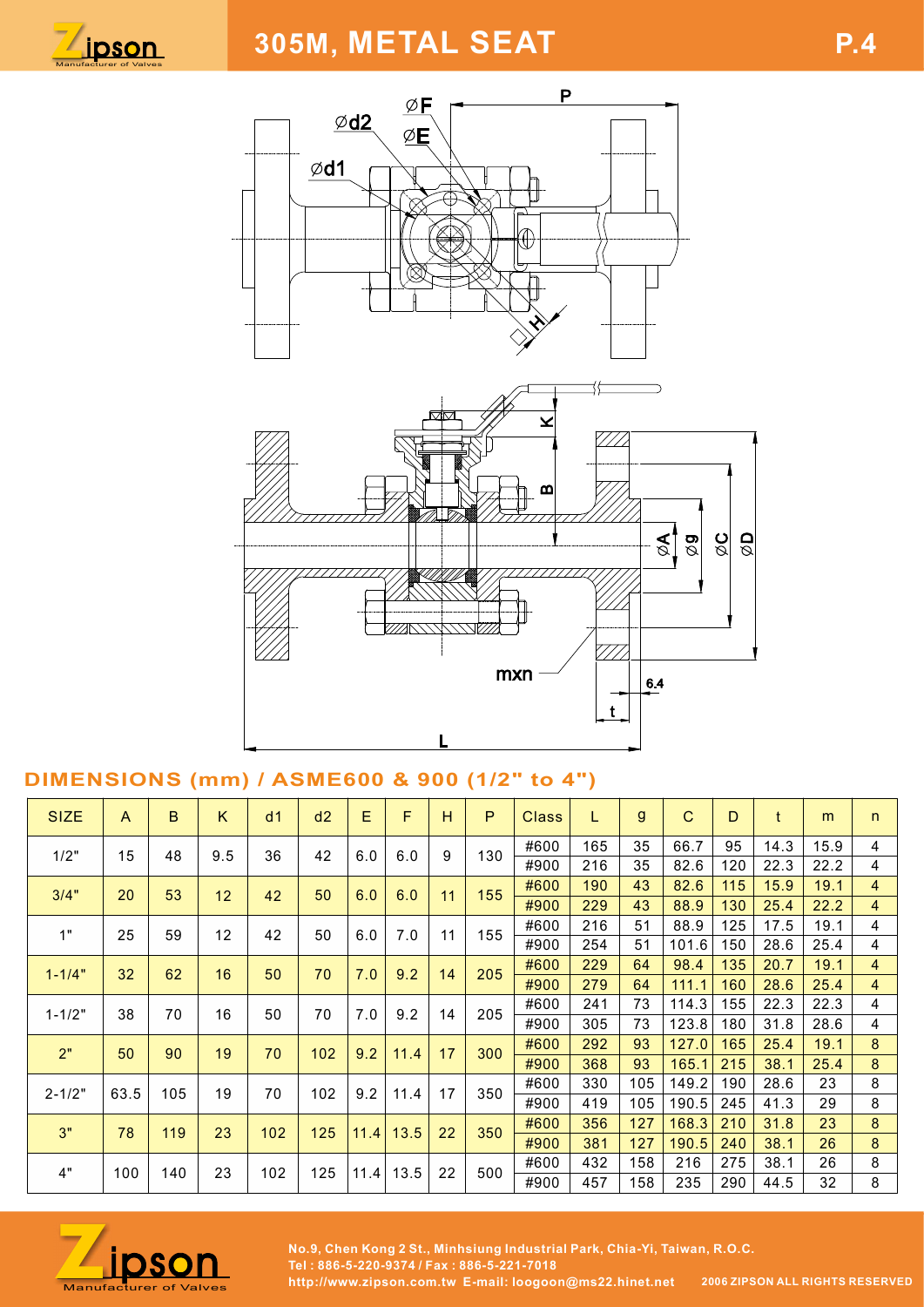





## DIMENSIONS (mm) / ASME600 & 900 (1/2" to 4")

|                                              |                 |             |     |     |                                                                                         |     |           |    |                                           | മ                                                                         |                    |              | $\mathbb{R}$<br>$\overline{\mathcal{B}}$ | $\frac{1}{\varphi}$<br>$\overline{\mathcal{Q}}$ |              |              |                     |
|----------------------------------------------|-----------------|-------------|-----|-----|-----------------------------------------------------------------------------------------|-----|-----------|----|-------------------------------------------|---------------------------------------------------------------------------|--------------------|--------------|------------------------------------------|-------------------------------------------------|--------------|--------------|---------------------|
|                                              |                 |             |     |     |                                                                                         |     |           |    | mxn                                       |                                                                           | 777<br>$\mathbf t$ | 6.4          |                                          |                                                 |              |              |                     |
| DIMENSIONS (mm) / ASME600 & 900 (1/2" to 4") |                 |             |     |     |                                                                                         |     |           |    |                                           |                                                                           |                    |              |                                          |                                                 |              |              |                     |
| <b>SIZE</b>                                  | A               | $\mathsf B$ | K.  | d1  | d2                                                                                      | E.  | F.        | H  | P                                         | <b>Class</b>                                                              | L                  | $\mathsf{g}$ | $\mathbf{C}$                             | D                                               | $\mathsf{t}$ | m            | n                   |
| 1/2"                                         | 15              | 48          | 9.5 | 36  | 42                                                                                      | 6.0 | 6.0       | 9  | 130                                       | #600                                                                      | 165                | 35           | 66.7                                     | 95                                              | 14.3         | 15.9         | 4                   |
|                                              |                 |             |     |     |                                                                                         |     |           |    |                                           | #900<br>#600                                                              | 216<br>190         | 35<br>43     | 82.6<br>82.6                             | 120<br>115                                      | 22.3<br>15.9 | 22.2<br>19.1 | 4<br>$\overline{4}$ |
| 3/4"                                         | 20              | 53          | 12  | 42  | 50                                                                                      | 6.0 | 6.0       | 11 | 155                                       | #900                                                                      | 229                | 43           | 88.9                                     | 130                                             | 25.4         | 22.2         | $\overline{4}$      |
|                                              |                 |             |     |     |                                                                                         |     |           |    |                                           | #600                                                                      | 216                | 51           | 88.9                                     | 125                                             | 17.5         | 19.1         | $\overline{4}$      |
| 1"                                           | 25              | 59          | 12  | 42  | 50                                                                                      | 6.0 | 7.0       | 11 | 155                                       | #900                                                                      | 254                | 51           | 101.6                                    | 150                                             | 28.6         | 25.4         | 4                   |
| $1 - 1/4"$                                   | 32 <sub>2</sub> | 62          | 16  | 50  | 70                                                                                      | 7.0 | 9.2       | 14 | 205                                       | #600                                                                      | 229                | 64           | 98.4                                     | 135                                             | 20.7         | 19.1         | $\overline{4}$      |
|                                              |                 |             |     |     |                                                                                         |     |           |    |                                           | #900                                                                      | 279                | 64           | 111.1                                    | 160                                             | 28.6         | 25.4         | $\overline{4}$      |
| $1 - 1/2"$                                   | 38              | 70          | 16  | 50  | 70                                                                                      | 7.0 | 9.2       | 14 | 205                                       | #600                                                                      | 241                | 73           | 114.3                                    | 155                                             | 22.3         | 22.3         | 4                   |
|                                              |                 |             |     |     |                                                                                         |     |           |    |                                           | #900                                                                      | 305                | 73           | 123.8                                    | 180                                             | 31.8         | 28.6         | 4                   |
| 2"                                           | 50              | 90          | 19  | 70  | 102                                                                                     | 9.2 | 11.4      | 17 | 300                                       | #600                                                                      | 292                | 93           | 127.0                                    | 165                                             | 25.4         | 19.1         | 8                   |
|                                              |                 |             |     |     |                                                                                         |     |           |    |                                           | #900                                                                      | 368                | 93           | 165.1                                    | 215                                             | 38.1         | 25.4         | 8                   |
| $2 - 1/2"$                                   | 63.5            | 105         | 19  | 70  | 102                                                                                     | 9.2 | 11.4      | 17 | 350                                       | #600                                                                      | 330                | 105          | 149.2                                    | 190                                             | 28.6         | 23           | 8                   |
|                                              |                 |             |     |     |                                                                                         |     |           |    |                                           | #900                                                                      | 419                | 105          | $190.5$ 245                              |                                                 | 41.3         | 29           | 8                   |
| 3"                                           | 78              | 119         | 23  | 102 | 125                                                                                     |     | 11.4 13.5 | 22 | 350                                       | #600                                                                      | 356                | 127          | $168.3$ 210                              |                                                 | 31.8         | 23           | 8                   |
|                                              |                 |             |     |     |                                                                                         |     |           |    |                                           | #900<br>#600                                                              | 381<br>432         | 127<br>158   | 190.5<br>216                             | 240<br>275                                      | 38.1<br>38.1 | 26<br>26     | 8<br>8              |
| 4"                                           | 100             | 140         | 23  | 102 | 125                                                                                     |     | 11.4 13.5 | 22 | 500                                       | #900                                                                      | 457                | 158          | 235                                      | 290                                             | 44.5         | 32           | 8                   |
|                                              | ipson           |             |     |     | http://www.zinson.com.tw. E-mail: loogoon@ms22.hingt.net 20067IPSON ALL RIGHTS RESERVED |     |           |    | Tel: 886-5-220-9374 / Fax: 886-5-221-7018 | No.9, Chen Kong 2 St., Minhsiung Industrial Park, Chia-Yi, Taiwan, R.O.C. |                    |              |                                          |                                                 |              |              |                     |



No.9, Chen Kong 2 St., Minhsiung Industrial Park, Chia-Yi, Taiwan, R.O.C.<br>Manufacturer of Valves http://www.zipson.com.tw E-mail: loogoon@ms22.hinet.net 2006 ZIPSON ALL RIGHTS RESERVED Tel : 886-5-220-9374 / Fax : 886-5-221-7018<br>http://www.zipson.com.tw\_E-mail: loogoon@ms22.hinet.net 2006 ZIPSON ALL RIGHTS RESERVED